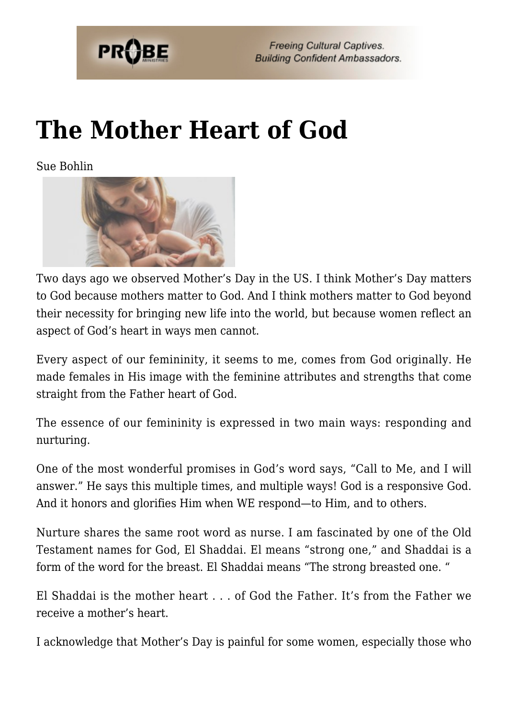

**Freeing Cultural Captives. Building Confident Ambassadors.** 

## **[The Mother Heart of God](https://probe.org/the-mother-heart-of-god/)**

Sue Bohlin



Two days ago we observed Mother's Day in the US. I think Mother's Day matters to God because mothers matter to God. And I think mothers matter to God beyond their necessity for bringing new life into the world, but because women reflect an aspect of God's heart in ways men cannot.

Every aspect of our femininity, it seems to me, comes from God originally. He made females in His image with the feminine attributes and strengths that come straight from the Father heart of God.

The essence of our femininity is expressed in two main ways: responding and nurturing.

One of the most wonderful promises in God's word says, "Call to Me, and I will answer." He says this multiple times, and multiple ways! God is a responsive God. And it honors and glorifies Him when WE respond—to Him, and to others.

Nurture shares the same root word as nurse. I am fascinated by one of the Old Testament names for God, El Shaddai. El means "strong one," and Shaddai is a form of the word for the breast. El Shaddai means "The strong breasted one. "

El Shaddai is the mother heart . . . of God the Father. It's from the Father we receive a mother's heart.

I acknowledge that Mother's Day is painful for some women, especially those who